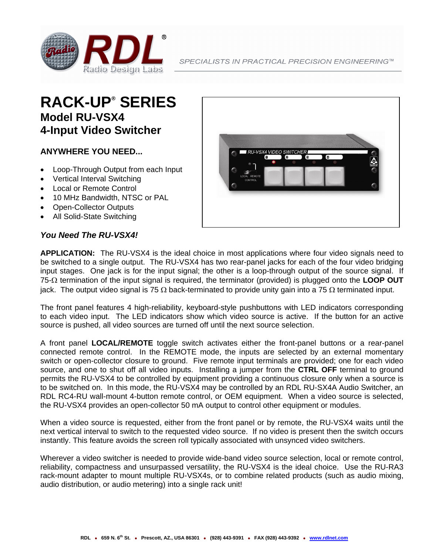

## **RACK-UP® SERIES Model RU-VSX4 4-Input Video Switcher**

### **ANYWHERE YOU NEED...**

- Loop-Through Output from each Input
- Vertical Interval Switching
- Local or Remote Control
- 10 MHz Bandwidth, NTSC or PAL
- Open-Collector Outputs
- All Solid-State Switching

#### *You Need The RU-VSX4!*



**APPLICATION:** The RU-VSX4 is the ideal choice in most applications where four video signals need to be switched to a single output. The RU-VSX4 has two rear-panel jacks for each of the four video bridging input stages. One jack is for the input signal; the other is a loop-through output of the source signal. If 75-Ω termination of the input signal is required, the terminator (provided) is plugged onto the **LOOP OUT** jack. The output video signal is 75 Ω back-terminated to provide unity gain into a 75 Ω terminated input.

The front panel features 4 high-reliability, keyboard-style pushbuttons with LED indicators corresponding to each video input. The LED indicators show which video source is active. If the button for an active source is pushed, all video sources are turned off until the next source selection.

A front panel **LOCAL/REMOTE** toggle switch activates either the front-panel buttons or a rear-panel connected remote control. In the REMOTE mode, the inputs are selected by an external momentary switch or open-collector closure to ground. Five remote input terminals are provided; one for each video source, and one to shut off all video inputs. Installing a jumper from the **CTRL OFF** terminal to ground permits the RU-VSX4 to be controlled by equipment providing a continuous closure only when a source is to be switched on. In this mode, the RU-VSX4 may be controlled by an RDL RU-SX4A Audio Switcher, an RDL RC4-RU wall-mount 4-button remote control, or OEM equipment. When a video source is selected, the RU-VSX4 provides an open-collector 50 mA output to control other equipment or modules.

When a video source is requested, either from the front panel or by remote, the RU-VSX4 waits until the next vertical interval to switch to the requested video source. If no video is present then the switch occurs instantly. This feature avoids the screen roll typically associated with unsynced video switchers.

Wherever a video switcher is needed to provide wide-band video source selection, local or remote control, reliability, compactness and unsurpassed versatility, the RU-VSX4 is the ideal choice. Use the RU-RA3 rack-mount adapter to mount multiple RU-VSX4s, or to combine related products (such as audio mixing, audio distribution, or audio metering) into a single rack unit!